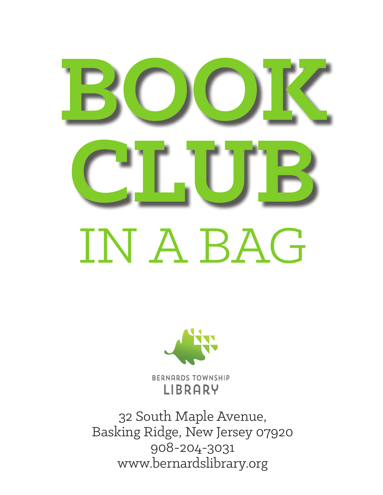# **BOOK CLUB** IN A BAG



**BERNARDS TOWNSHIP** LIBRARY

32 South Maple Avenue, Basking Ridge, New Jersey 07920 908-204-3031 www.bernardslibrary.org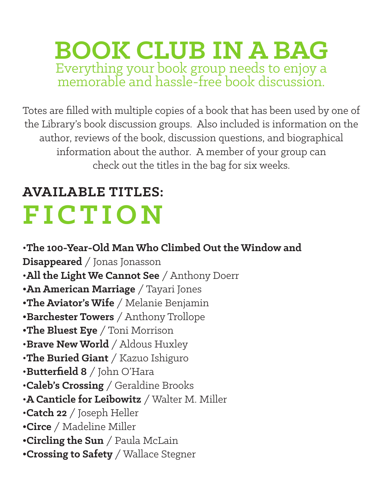#### **BOOK CLUB IN A BAG** Everything your book group needs to enjoy a memorable and hassle-free book discussion.

Totes are filled with multiple copies of a book that has been used by one of the Library's book discussion groups. Also included is information on the author, reviews of the book, discussion questions, and biographical information about the author. A member of your group can check out the titles in the bag for six weeks.

## **AVAILABLE TITLES: FICTION**

•**The 100-Year-Old Man Who Climbed Out the Window and Disappeared** / Jonas Jonasson •**All the Light We Cannot See** / Anthony Doerr **•An American Marriage** / Tayari Jones **•The Aviator's Wife** / Melanie Benjamin **•Barchester Towers** / Anthony Trollope **•The Bluest Eye** / Toni Morrison •**Brave New World** / Aldous Huxley •**The Buried Giant** / Kazuo Ishiguro •**Butterfield 8** / John O'Hara •**Caleb's Crossing** / Geraldine Brooks •**A Canticle for Leibowitz** / Walter M. Miller •**Catch 22** / Joseph Heller **•Circe** / Madeline Miller **•Circling the Sun** / Paula McLain **•Crossing to Safety** / Wallace Stegner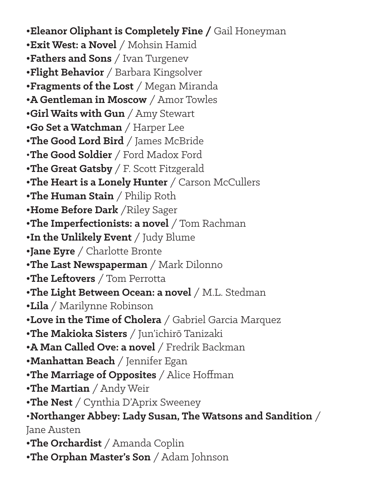**•Eleanor Oliphant is Completely Fine /** Gail Honeyman **•Exit West: a Novel** / Mohsin Hamid **•Fathers and Sons** / Ivan Turgenev **•Flight Behavior** / Barbara Kingsolver **•Fragments of the Lost** / Megan Miranda **•A Gentleman in Moscow** / Amor Towles **•Girl Waits with Gun** / Amy Stewart **•Go Set a Watchman** / Harper Lee **•The Good Lord Bird** / James McBride •**The Good Soldier** / Ford Madox Ford **•The Great Gatsby** / F. Scott Fitzgerald **•The Heart is a Lonely Hunter** / Carson McCullers **•The Human Stain** / Philip Roth **•Home Before Dark** /Riley Sager **•The Imperfectionists: a novel** / Tom Rachman **•In the Unlikely Event** / Judy Blume **•Jane Eyre** / Charlotte Bronte **•The Last Newspaperman** / Mark Dilonno **•The Leftovers** / Tom Perrotta **•The Light Between Ocean: a novel** / M.L. Stedman **•Lila** / Marilynne Robinson **•Love in the Time of Cholera** / Gabriel Garcia Marquez **•The Makioka Sisters** / Jun'ichirō Tanizaki **•A Man Called Ove: a novel** / Fredrik Backman **•Manhattan Beach** / Jennifer Egan **•The Marriage of Opposites** / Alice Hoffman **•The Martian** / Andy Weir **•The Nest** / Cynthia D'Aprix Sweeney •**Northanger Abbey: Lady Susan, The Watsons and Sandition** / Jane Austen **•The Orchardist** / Amanda Coplin **•The Orphan Master's Son** / Adam Johnson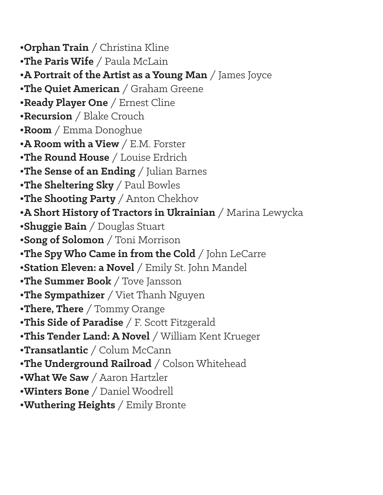**•Orphan Train** / Christina Kline **•The Paris Wife** / Paula McLain **•A Portrait of the Artist as a Young Man** / James Joyce **•The Quiet American** / Graham Greene **•Ready Player One** / Ernest Cline **•Recursion** / Blake Crouch **•Room** / Emma Donoghue **•A Room with a View** / E.M. Forster **•The Round House** / Louise Erdrich **•The Sense of an Ending** / Julian Barnes **•The Sheltering Sky** / Paul Bowles **•The Shooting Party** / Anton Chekhov **•A Short History of Tractors in Ukrainian** / Marina Lewycka **•Shuggie Bain** / Douglas Stuart **•Song of Solomon** / Toni Morrison **•The Spy Who Came in from the Cold** / John LeCarre **•Station Eleven: a Novel** / Emily St. John Mandel **•The Summer Book** / Tove Jansson **•The Sympathizer** / Viet Thanh Nguyen **•There, There** / Tommy Orange **•This Side of Paradise** / F. Scott Fitzgerald **•This Tender Land: A Novel** / William Kent Krueger **•Transatlantic** / Colum McCann **•The Underground Railroad** / Colson Whitehead **•What We Saw** / Aaron Hartzler **•Winters Bone** / Daniel Woodrell **•Wuthering Heights** / Emily Bronte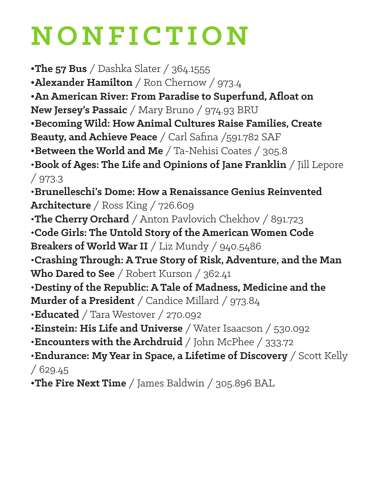# **NONFICTION**

**•The 57 Bus** / Dashka Slater / 364.1555

**•Alexander Hamilton** / Ron Chernow / 973.4

**•An American River: From Paradise to Superfund, Afloat on** 

**New Jersey's Passaic** / Mary Bruno / 974.93 BRU

**•Becoming Wild: How Animal Cultures Raise Families, Create** 

**Beauty, and Achieve Peace** / Carl Safina /591.782 SAF

**•Between the World and Me** / Ta-Nehisi Coates / 305.8

•**Book of Ages: The Life and Opinions of Jane Franklin** / Jill Lepore / 973.3

•**Brunelleschi's Dome: How a Renaissance Genius Reinvented Architecture** / Ross King / 726.609

•**The Cherry Orchard** / Anton Pavlovich Chekhov / 891.723

•**Code Girls: The Untold Story of the American Women Code Breakers of World War II** / Liz Mundy / 940.5486

•**Crashing Through: A True Story of Risk, Adventure, and the Man Who Dared to See** / Robert Kurson / 362.41

•**Destiny of the Republic: A Tale of Madness, Medicine and the** 

**Murder of a President** / Candice Millard / 973.84

•**Educated** / Tara Westover / 270.092

•**Einstein: His Life and Universe** / Water Isaacson / 530.092

•**Encounters with the Archdruid** / John McPhee / 333.72

•**Endurance: My Year in Space, a Lifetime of Discovery** / Scott Kelly  $/629.45$ 

**•The Fire Next Time** / James Baldwin / 305.896 BAL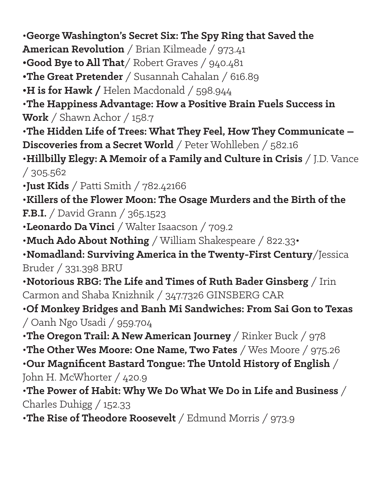•**George Washington's Secret Six: The Spy Ring that Saved the** 

**American Revolution** / Brian Kilmeade / 973.41

**•Good Bye to All That**/ Robert Graves / 940.481

**•The Great Pretender** / Susannah Cahalan / 616.89

**•H is for Hawk /** Helen Macdonald / 598.944

•**The Happiness Advantage: How a Positive Brain Fuels Success in Work** / Shawn Achor / 158.7

•**The Hidden Life of Trees: What They Feel, How They Communicate – Discoveries from a Secret World** / Peter Wohlleben / 582.16

•**Hillbilly Elegy: A Memoir of a Family and Culture in Crisis** / J.D. Vance / 305.562

•**Just Kids** / Patti Smith / 782.42166

•**Killers of the Flower Moon: The Osage Murders and the Birth of the F.B.I.** / David Grann / 365.1523

•**Leonardo Da Vinci** / Walter Isaacson / 709.2

•**Much Ado About Nothing** / William Shakespeare / 822.33•

•**Nomadland: Surviving America in the Twenty-First Century**/Jessica Bruder / 331.398 BRU

•**Notorious RBG: The Life and Times of Ruth Bader Ginsberg** / Irin Carmon and Shaba Knizhnik / 347.7326 GINSBERG CAR

•**Of Monkey Bridges and Banh Mi Sandwiches: From Sai Gon to Texas** / Oanh Ngo Usadi / 959.704

•**The Oregon Trail: A New American Journey** / Rinker Buck / 978

•**The Other Wes Moore: One Name, Two Fates** / Wes Moore / 975.26

•**Our Magnificent Bastard Tongue: The Untold History of English** / John H. McWhorter / 420.9

•**The Power of Habit: Why We Do What We Do in Life and Business** / Charles Duhigg / 152.33

•**The Rise of Theodore Roosevelt** / Edmund Morris / 973.9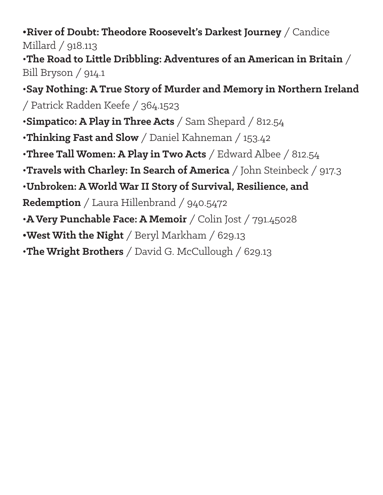#### **•River of Doubt: Theodore Roosevelt's Darkest Journey** / Candice Millard / 918.113

•**The Road to Little Dribbling: Adventures of an American in Britain** / Bill Bryson /  $914.1$ 

•**Say Nothing: A True Story of Murder and Memory in Northern Ireland** / Patrick Radden Keefe / 364.1523

•**Simpatico: A Play in Three Acts** / Sam Shepard / 812.54

•**Thinking Fast and Slow** / Daniel Kahneman / 153.42

•**Three Tall Women: A Play in Two Acts** / Edward Albee / 812.54

•**Travels with Charley: In Search of America** / John Steinbeck / 917.3

•**Unbroken: A World War II Story of Survival, Resilience, and** 

**Redemption** / Laura Hillenbrand / 940.5472

- •**A Very Punchable Face: A Memoir** / Colin Jost / 791.45028
- **•West With the Night** / Beryl Markham / 629.13
- •**The Wright Brothers** / David G. McCullough / 629.13